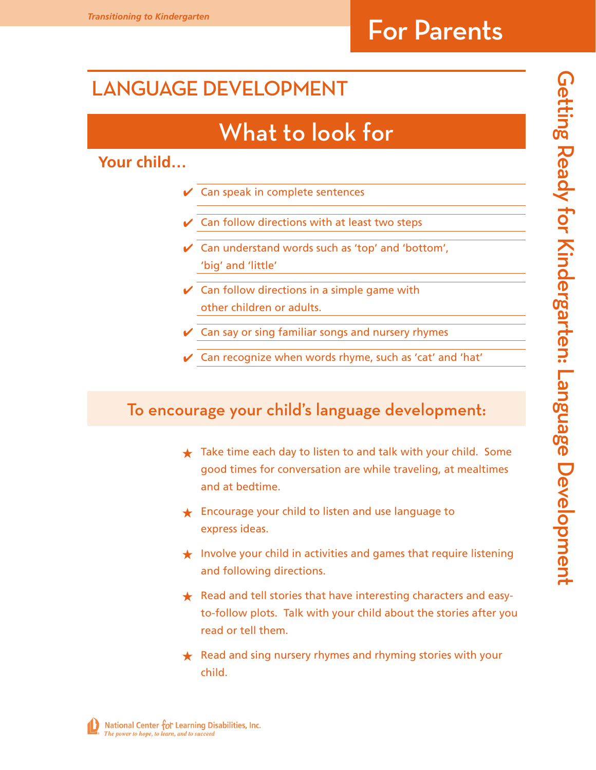### LANGUAGE DEVELOPMENT

## What to look for

#### **Your child…**

- $\vee$  Can speak in complete sentences
- **Can follow directions with at least two steps**
- $\vee$  Can understand words such as 'top' and 'bottom', 'big' and 'little'
- $\vee$  Can follow directions in a simple game with other children or adults.
- Can say or sing familiar songs and nursery rhymes
- ✔ Can recognize when words rhyme, such as 'cat' and 'hat'

#### To encourage your child's language development:

- $\bigstar$  Take time each day to listen to and talk with your child. Some good times for conversation are while traveling, at mealtimes and at bedtime.
- ★ Encourage your child to listen and use language to express ideas.
- $\bigstar$  Involve your child in activities and games that require listening and following directions.
- **★** Read and tell stories that have interesting characters and easyto-follow plots. Talk with your child about the stories after you read or tell them.
- ★ Read and sing nursery rhymes and rhyming stories with your child.

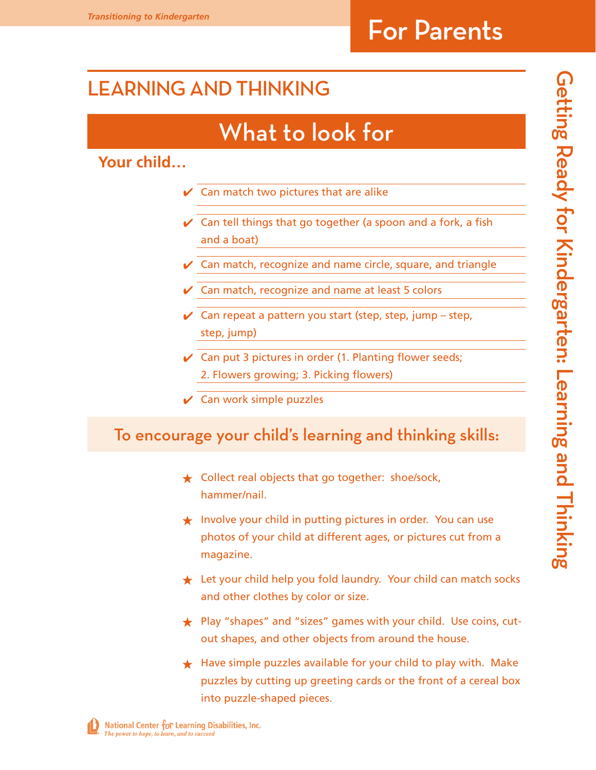### Learning and Thinking

## What to look for

#### **Your child…**

- $\vee$  Can match two pictures that are alike
- $\vee$  Can tell things that go together (a spoon and a fork, a fish and a boat)
- Can match, recognize and name circle, square, and triangle
- $\vee$  Can match, recognize and name at least 5 colors
- $\vee$  Can repeat a pattern you start (step, step, jump step, step, jump)
- $\vee$  Can put 3 pictures in order (1. Planting flower seeds; 2. Flowers growing; 3. Picking flowers)
- $\vee$  Can work simple puzzles

#### To encourage your child's learning and thinking skills:

- ★ Collect real objects that go together: shoe/sock, hammer/nail.
- ★ Involve your child in putting pictures in order. You can use photos of your child at different ages, or pictures cut from a magazine.
- **★** Let your child help you fold laundry. Your child can match socks and other clothes by color or size.
- ★ Play "shapes" and "sizes" games with your child. Use coins, cutout shapes, and other objects from around the house.
- $\star$  Have simple puzzles available for your child to play with. Make puzzles by cutting up greeting cards or the front of a cereal box into puzzle-shaped pieces.

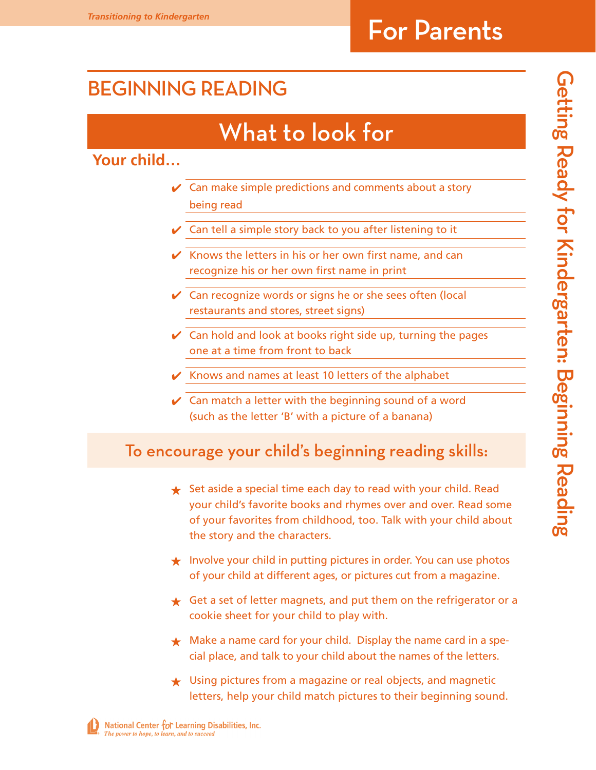### Beginning Reading

## What to look for

**Your child…**

- $\vee$  Can make simple predictions and comments about a story being read
- Can tell a simple story back to you after listening to it
- $\mathcal V$  Knows the letters in his or her own first name, and can recognize his or her own first name in print
- Can recognize words or signs he or she sees often (local restaurants and stores, street signs)
- Can hold and look at books right side up, turning the pages one at a time from front to back
- ✔ Knows and names at least 10 letters of the alphabet
- $\vee$  Can match a letter with the beginning sound of a word (such as the letter 'B' with a picture of a banana)

#### To encourage your child's beginning reading skills:

- $\bigstar$  Set aside a special time each day to read with your child. Read your child's favorite books and rhymes over and over. Read some of your favorites from childhood, too. Talk with your child about the story and the characters.
- ★ Involve your child in putting pictures in order. You can use photos of your child at different ages, or pictures cut from a magazine.
- $\bigstar$  Get a set of letter magnets, and put them on the refrigerator or a cookie sheet for your child to play with.
- $\star$  Make a name card for your child. Display the name card in a special place, and talk to your child about the names of the letters.
- ★ Using pictures from a magazine or real objects, and magnetic letters, help your child match pictures to their beginning sound.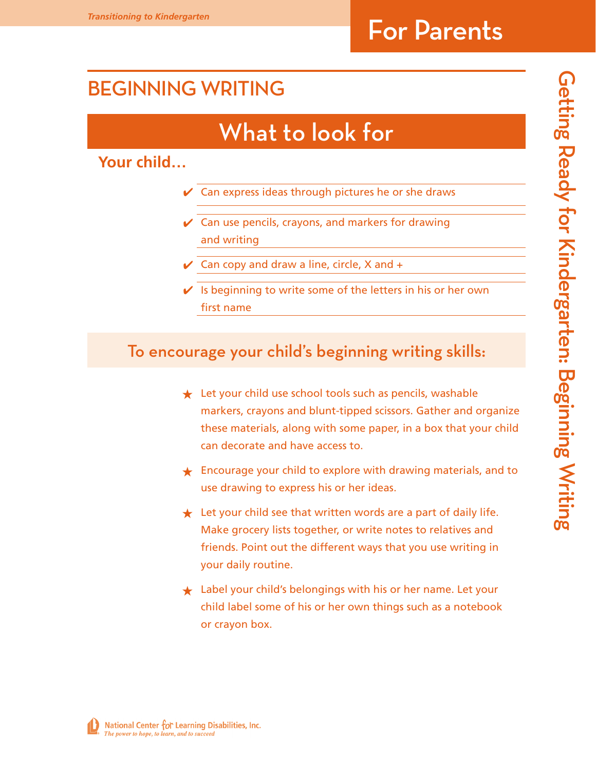### Beginning Writing

## What to look for

**Your child…**

- $\vee$  Can express ideas through pictures he or she draws
- $\checkmark$  Can use pencils, crayons, and markers for drawing and writing
- $\vee$  Can copy and draw a line, circle, X and  $+$
- $\vee$  Is beginning to write some of the letters in his or her own first name

#### To encourage your child's beginning writing skills:

- **★** Let your child use school tools such as pencils, washable markers, crayons and blunt-tipped scissors. Gather and organize these materials, along with some paper, in a box that your child can decorate and have access to.
- ★ Encourage your child to explore with drawing materials, and to use drawing to express his or her ideas.
- $\bigstar$  Let your child see that written words are a part of daily life. Make grocery lists together, or write notes to relatives and friends. Point out the different ways that you use writing in your daily routine.
- ★ Label your child's belongings with his or her name. Let your child label some of his or her own things such as a notebook or crayon box.

National Center for Learning Disabilities, Inc. The power to hope, to learn, and to succeed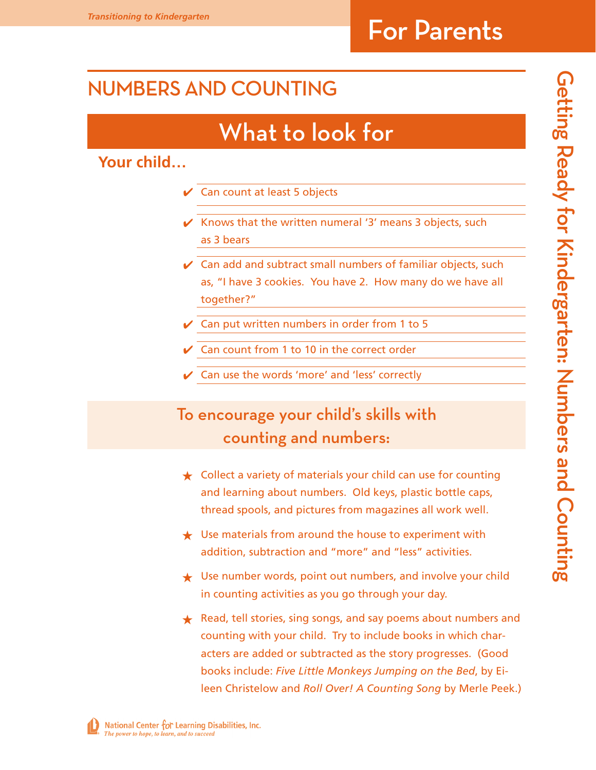### Numbers and Counting

## What to look for

#### **Your child…**

- **Can count at least 5 objects**
- $\mathcal V$  Knows that the written numeral '3' means 3 objects, such as 3 bears
- $\vee$  Can add and subtract small numbers of familiar objects, such as, "I have 3 cookies. You have 2. How many do we have all together?"
- ✔ Can put written numbers in order from 1 to 5
- Can count from 1 to 10 in the correct order
- Can use the words 'more' and 'less' correctly

#### To encourage your child's skills with counting and numbers:

- ★ Collect a variety of materials your child can use for counting and learning about numbers. Old keys, plastic bottle caps, thread spools, and pictures from magazines all work well.
- $\star$  Use materials from around the house to experiment with addition, subtraction and "more" and "less" activities.
- ★ Use number words, point out numbers, and involve your child in counting activities as you go through your day.
- ★ Read, tell stories, sing songs, and say poems about numbers and counting with your child. Try to include books in which characters are added or subtracted as the story progresses. (Good books include: *Five Little Monkeys Jumping on the Bed*, by Eileen Christelow and *Roll Over! A Counting Song* by Merle Peek.)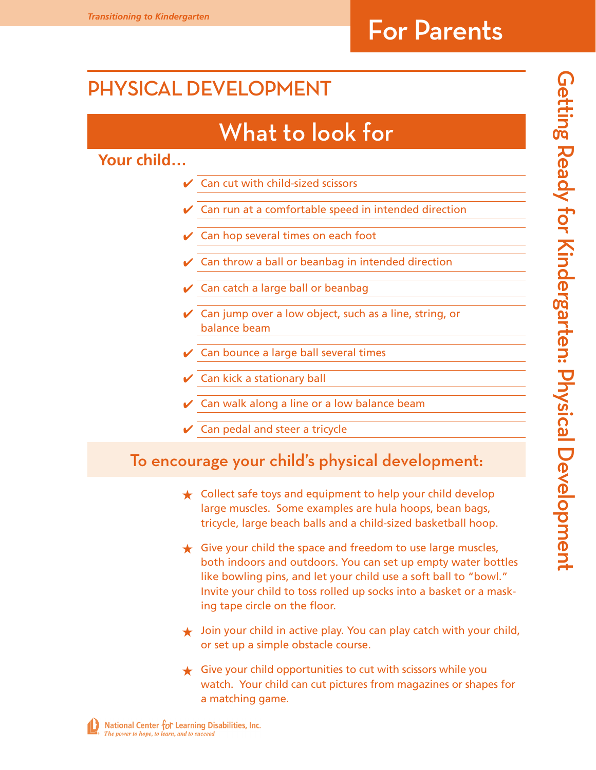### Physical Development

## What to look for

**Your child…**

- Can cut with child-sized scissors
- Can run at a comfortable speed in intended direction
- Can hop several times on each foot
- Can throw a ball or beanbag in intended direction
- Can catch a large ball or beanbag
- $\vee$  Can jump over a low object, such as a line, string, or balance beam
- Can bounce a large ball several times
- Can kick a stationary ball
- Can walk along a line or a low balance beam
- $\vee$  Can pedal and steer a tricycle

#### To encourage your child's physical development:

- **★** Collect safe toys and equipment to help your child develop large muscles. Some examples are hula hoops, bean bags, tricycle, large beach balls and a child-sized basketball hoop.
- $\bigstar$  Give your child the space and freedom to use large muscles, both indoors and outdoors. You can set up empty water bottles like bowling pins, and let your child use a soft ball to "bowl." Invite your child to toss rolled up socks into a basket or a masking tape circle on the floor.
- $\star$  Join your child in active play. You can play catch with your child, or set up a simple obstacle course.
- $\bigstar$  Give your child opportunities to cut with scissors while you watch. Your child can cut pictures from magazines or shapes for a matching game.